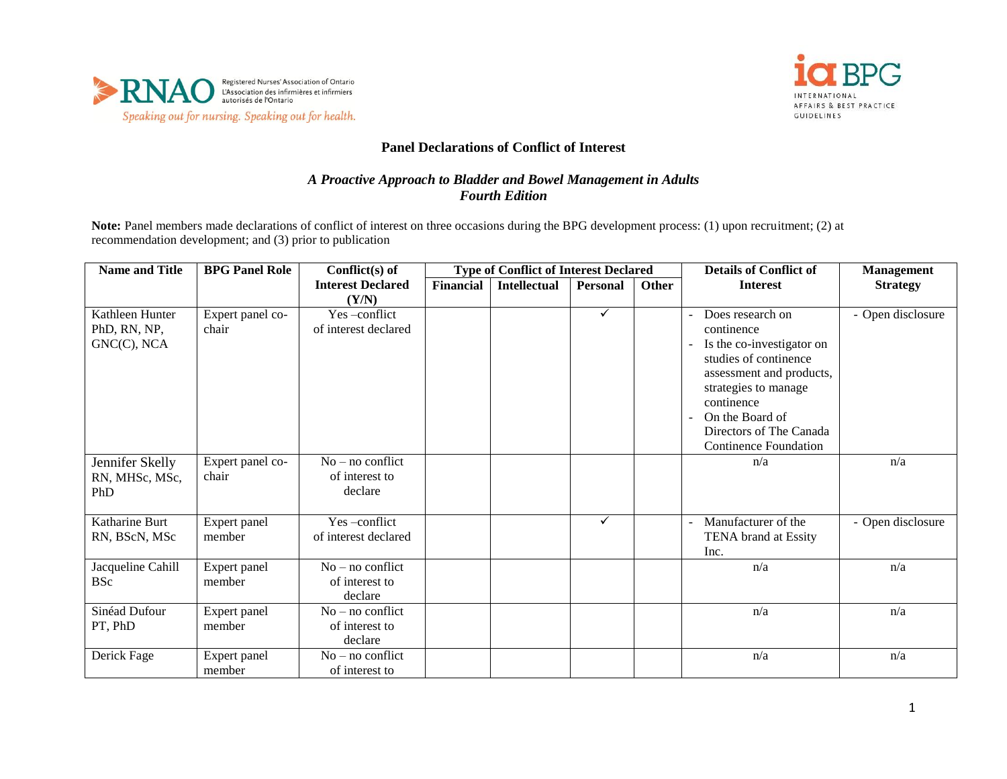



## **Panel Declarations of Conflict of Interest**

## *A Proactive Approach to Bladder and Bowel Management in Adults Fourth Edition*

**Note:** Panel members made declarations of conflict of interest on three occasions during the BPG development process: (1) upon recruitment; (2) at recommendation development; and (3) prior to publication

| <b>Name and Title</b>                          | <b>BPG Panel Role</b>     | Conflict(s) of                                  | <b>Type of Conflict of Interest Declared</b> |                     |                 |              | <b>Details of Conflict of</b>                                                                                                                                                                                                        | <b>Management</b> |
|------------------------------------------------|---------------------------|-------------------------------------------------|----------------------------------------------|---------------------|-----------------|--------------|--------------------------------------------------------------------------------------------------------------------------------------------------------------------------------------------------------------------------------------|-------------------|
|                                                |                           | <b>Interest Declared</b>                        | Financial                                    | <b>Intellectual</b> | <b>Personal</b> | <b>Other</b> | <b>Interest</b>                                                                                                                                                                                                                      | <b>Strategy</b>   |
|                                                |                           | (Y/N)                                           |                                              |                     |                 |              |                                                                                                                                                                                                                                      |                   |
| Kathleen Hunter<br>PhD, RN, NP,<br>GNC(C), NCA | Expert panel co-<br>chair | Yes-conflict<br>of interest declared            |                                              |                     | $\checkmark$    |              | Does research on<br>continence<br>Is the co-investigator on<br>studies of continence<br>assessment and products,<br>strategies to manage<br>continence<br>On the Board of<br>Directors of The Canada<br><b>Continence Foundation</b> | - Open disclosure |
| Jennifer Skelly<br>RN, MHSc, MSc,<br>PhD       | Expert panel co-<br>chair | $No - no$ conflict<br>of interest to<br>declare |                                              |                     |                 |              | n/a                                                                                                                                                                                                                                  | n/a               |
| Katharine Burt<br>RN, BScN, MSc                | Expert panel<br>member    | Yes-conflict<br>of interest declared            |                                              |                     | $\checkmark$    |              | Manufacturer of the<br>TENA brand at Essity<br>Inc.                                                                                                                                                                                  | - Open disclosure |
| Jacqueline Cahill<br><b>BSc</b>                | Expert panel<br>member    | $No$ – no conflict<br>of interest to<br>declare |                                              |                     |                 |              | n/a                                                                                                                                                                                                                                  | n/a               |
| Sinéad Dufour<br>PT, PhD                       | Expert panel<br>member    | $No - no$ conflict<br>of interest to<br>declare |                                              |                     |                 |              | n/a                                                                                                                                                                                                                                  | n/a               |
| Derick Fage                                    | Expert panel<br>member    | $No$ – no conflict<br>of interest to            |                                              |                     |                 |              | n/a                                                                                                                                                                                                                                  | n/a               |